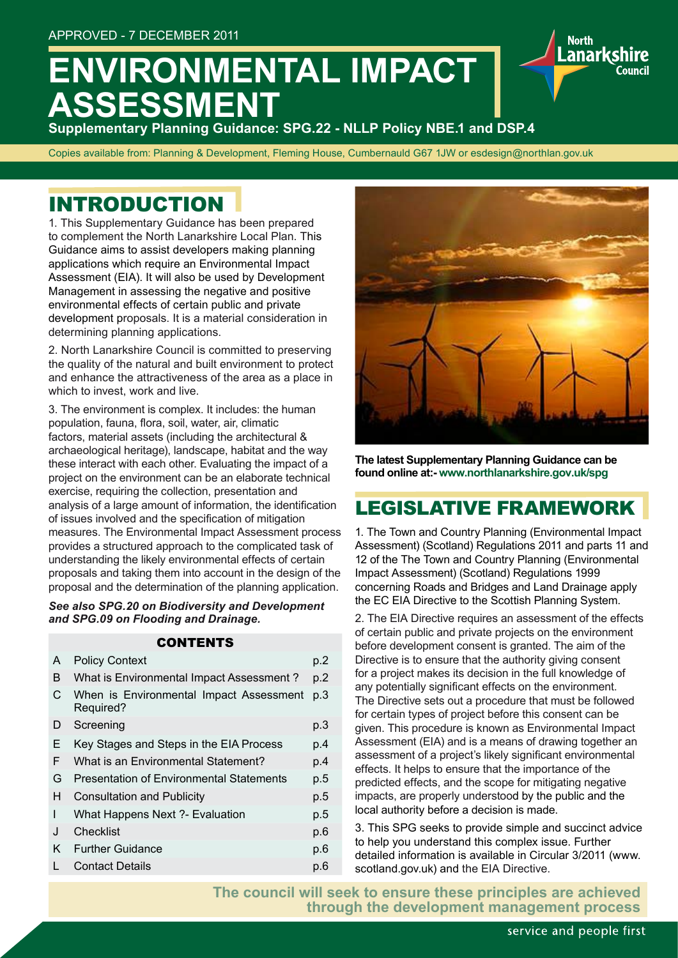# **ENVIRONMENTAL IMPACT ASSESSMENT**

**Supplementary Planning Guidance: SPG.22 - NLLP Policy NBE.1 and DSP.4**

Copies available from: Planning & Development, Fleming House, Cumbernauld G67 1JW or esdesign@northlan.gov.uk

## INTRODUCTION

1. This Supplementary Guidance has been prepared to complement the North Lanarkshire Local Plan. This Guidance aims to assist developers making planning applications which require an Environmental Impact Assessment (EIA). It will also be used by Development Management in assessing the negative and positive environmental effects of certain public and private development proposals. It is a material consideration in determining planning applications.

2. North Lanarkshire Council is committed to preserving the quality of the natural and built environment to protect and enhance the attractiveness of the area as a place in which to invest, work and live.

3. The environment is complex. It includes: the human population, fauna, flora, soil, water, air, climatic factors, material assets (including the architectural & archaeological heritage), landscape, habitat and the way these interact with each other. Evaluating the impact of a project on the environment can be an elaborate technical exercise, requiring the collection, presentation and analysis of a large amount of information, the identification of issues involved and the specification of mitigation measures. The Environmental Impact Assessment process provides a structured approach to the complicated task of understanding the likely environmental effects of certain proposals and taking them into account in the design of the proposal and the determination of the planning application.

*See also SPG.20 on Biodiversity and Development and SPG.09 on Flooding and Drainage.*

### **CONTENTS**

| A | <b>Policy Context</b>                                | p.2 |
|---|------------------------------------------------------|-----|
| B | What is Environmental Impact Assessment?             | p.2 |
| C | When is Environmental Impact Assessment<br>Required? | p.3 |
| D | Screening                                            | p.3 |
| Е | Key Stages and Steps in the EIA Process              | p.4 |
| F | What is an Environmental Statement?                  | p.4 |
| G | <b>Presentation of Environmental Statements</b>      | p.5 |
| Н | <b>Consultation and Publicity</b>                    | p.5 |
| I | What Happens Next ?- Evaluation                      | p.5 |
| J | Checklist                                            | p.6 |
| K | <b>Further Guidance</b>                              | p.6 |
|   | <b>Contact Details</b>                               | p.6 |
|   |                                                      |     |



**North** .anarksh

**The latest Supplementary Planning Guidance can be found online at:- www.northlanarkshire.gov.uk/spg**

## LEGISLATIVE FRAMEWORK

1. The Town and Country Planning (Environmental Impact Assessment) (Scotland) Regulations 2011 and parts 11 and 12 of the The Town and Country Planning (Environmental Impact Assessment) (Scotland) Regulations 1999 concerning Roads and Bridges and Land Drainage apply the EC EIA Directive to the Scottish Planning System.

2. The EIA Directive requires an assessment of the effects of certain public and private projects on the environment before development consent is granted. The aim of the Directive is to ensure that the authority giving consent for a project makes its decision in the full knowledge of any potentially significant effects on the environment. The Directive sets out a procedure that must be followed for certain types of project before this consent can be given. This procedure is known as Environmental Impact Assessment (EIA) and is a means of drawing together an assessment of a project's likely significant environmental effects. It helps to ensure that the importance of the predicted effects, and the scope for mitigating negative impacts, are properly understood by the public and the local authority before a decision is made.

3. This SPG seeks to provide simple and succinct advice to help you understand this complex issue. Further detailed information is available in Circular 3/2011 (www. scotland.gov.uk) and the EIA Directive.

**The council will seek to ensure these principles are achieved through the development management process**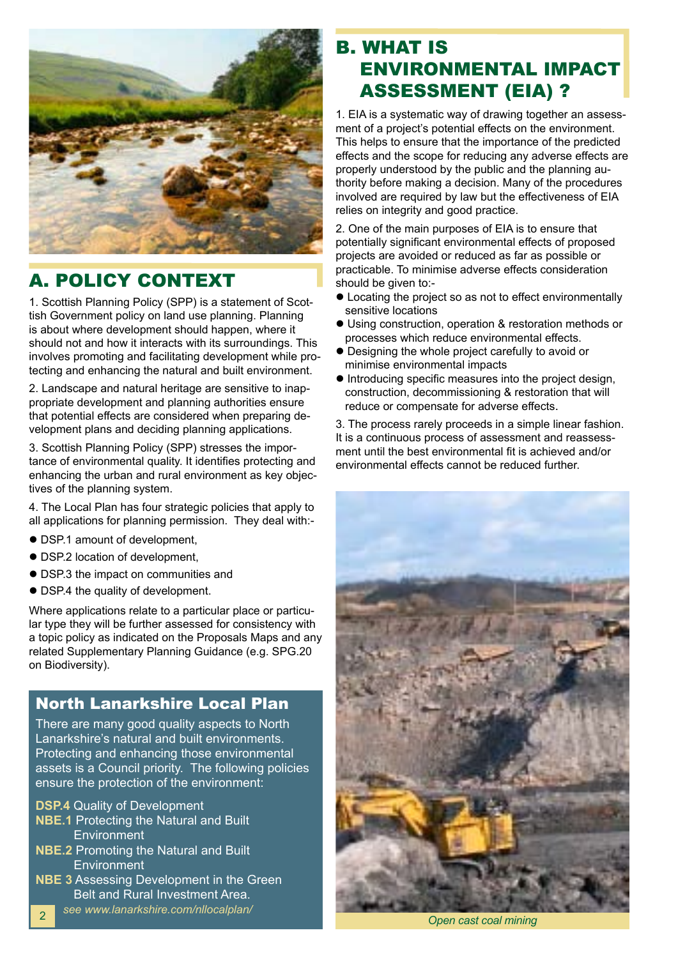

## A. POLICY CONTEXT

1. Scottish Planning Policy (SPP) is a statement of Scottish Government policy on land use planning. Planning is about where development should happen, where it should not and how it interacts with its surroundings. This involves promoting and facilitating development while protecting and enhancing the natural and built environment.

2. Landscape and natural heritage are sensitive to inappropriate development and planning authorities ensure that potential effects are considered when preparing development plans and deciding planning applications.

3. Scottish Planning Policy (SPP) stresses the importance of environmental quality. It identifies protecting and enhancing the urban and rural environment as key objectives of the planning system.

4. The Local Plan has four strategic policies that apply to all applications for planning permission. They deal with:-

- DSP.1 amount of development,
- DSP.2 location of development,
- DSP.3 the impact on communities and
- DSP.4 the quality of development.

Where applications relate to a particular place or particular type they will be further assessed for consistency with a topic policy as indicated on the Proposals Maps and any related Supplementary Planning Guidance (e.g. SPG.20 on Biodiversity).

### North Lanarkshire Local Plan

There are many good quality aspects to North Lanarkshire's natural and built environments. Protecting and enhancing those environmental assets is a Council priority. The following policies ensure the protection of the environment:

- **DSP.4** Quality of Development
- **NBE.1** Protecting the Natural and Built **Environment**
- **NBE.2** Promoting the Natural and Built **Environment**
- **NBE 3** Assessing Development in the Green Belt and Rural Investment Area.
- *see www.lanarkshire.com/nllocalplan/* <sup>2</sup>

## B. WHAT IS ENVIRONMENTAL IMPACT ASSESSMENT (EIA) ?

1. EIA is a systematic way of drawing together an assessment of a project's potential effects on the environment. This helps to ensure that the importance of the predicted effects and the scope for reducing any adverse effects are properly understood by the public and the planning authority before making a decision. Many of the procedures involved are required by law but the effectiveness of EIA relies on integrity and good practice.

2. One of the main purposes of EIA is to ensure that potentially significant environmental effects of proposed projects are avoided or reduced as far as possible or practicable. To minimise adverse effects consideration should be given to:-

- Locating the project so as not to effect environmentally sensitive locations
- **.** Using construction, operation & restoration methods or processes which reduce environmental effects.
- Designing the whole project carefully to avoid or minimise environmental impacts
- l Introducing specific measures into the project design, construction, decommissioning & restoration that will reduce or compensate for adverse effects.

3. The process rarely proceeds in a simple linear fashion. It is a continuous process of assessment and reassessment until the best environmental fit is achieved and/or environmental effects cannot be reduced further.



*Open cast coal mining*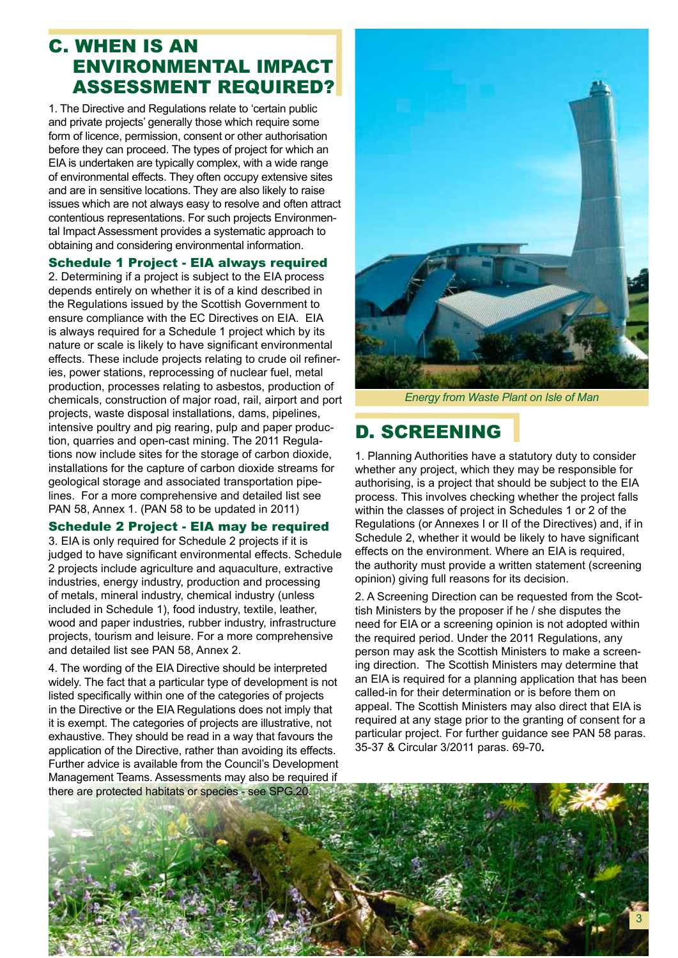### C. WHEN IS AN ENVIRONMENTAL IMPACT ASSESSMENT REQUIRED?

1. The Directive and Regulations relate to 'certain public and private projects' generally those which require some form of licence, permission, consent or other authorisation before they can proceed. The types of project for which an EIA is undertaken are typically complex, with a wide range of environmental effects. They often occupy extensive sites and are in sensitive locations. They are also likely to raise issues which are not always easy to resolve and often attract contentious representations. For such projects Environmental Impact Assessment provides a systematic approach to obtaining and considering environmental information.

### Schedule 1 Project - EIA always required

2. Determining if a project is subject to the EIA process depends entirely on whether it is of a kind described in the Regulations issued by the Scottish Government to ensure compliance with the EC Directives on EIA. EIA is always required for a Schedule 1 project which by its nature or scale is likely to have significant environmental effects. These include projects relating to crude oil refineries, power stations, reprocessing of nuclear fuel, metal production, processes relating to asbestos, production of chemicals, construction of major road, rail, airport and port projects, waste disposal installations, dams, pipelines, intensive poultry and pig rearing, pulp and paper production, quarries and open-cast mining. The 2011 Regulations now include sites for the storage of carbon dioxide, installations for the capture of carbon dioxide streams for geological storage and associated transportation pipelines. For a more comprehensive and detailed list see PAN 58, Annex 1. (PAN 58 to be updated in 2011)

### Schedule 2 Project - EIA may be required

3. EIA is only required for Schedule 2 projects if it is judged to have significant environmental effects. Schedule 2 projects include agriculture and aquaculture, extractive industries, energy industry, production and processing of metals, mineral industry, chemical industry (unless included in Schedule 1), food industry, textile, leather, wood and paper industries, rubber industry, infrastructure projects, tourism and leisure. For a more comprehensive and detailed list see PAN 58, Annex 2.

4. The wording of the EIA Directive should be interpreted widely. The fact that a particular type of development is not listed specifically within one of the categories of projects in the Directive or the EIA Regulations does not imply that it is exempt. The categories of projects are illustrative, not exhaustive. They should be read in a way that favours the application of the Directive, rather than avoiding its effects. Further advice is available from the Council's Development Management Teams. Assessments may also be required if



*Energy from Waste Plant on Isle of Man*

## D. SCREENING

1. Planning Authorities have a statutory duty to consider whether any project, which they may be responsible for authorising, is a project that should be subject to the EIA process. This involves checking whether the project falls within the classes of project in Schedules 1 or 2 of the Regulations (or Annexes I or II of the Directives) and, if in Schedule 2, whether it would be likely to have significant effects on the environment. Where an EIA is required, the authority must provide a written statement (screening opinion) giving full reasons for its decision.

2. A Screening Direction can be requested from the Scottish Ministers by the proposer if he / she disputes the need for EIA or a screening opinion is not adopted within the required period. Under the 2011 Regulations, any person may ask the Scottish Ministers to make a screening direction. The Scottish Ministers may determine that an EIA is required for a planning application that has been called-in for their determination or is before them on appeal. The Scottish Ministers may also direct that EIA is required at any stage prior to the granting of consent for a particular project. For further guidance see PAN 58 paras. 35-37 & Circular 3/2011 paras. 69-70**.**

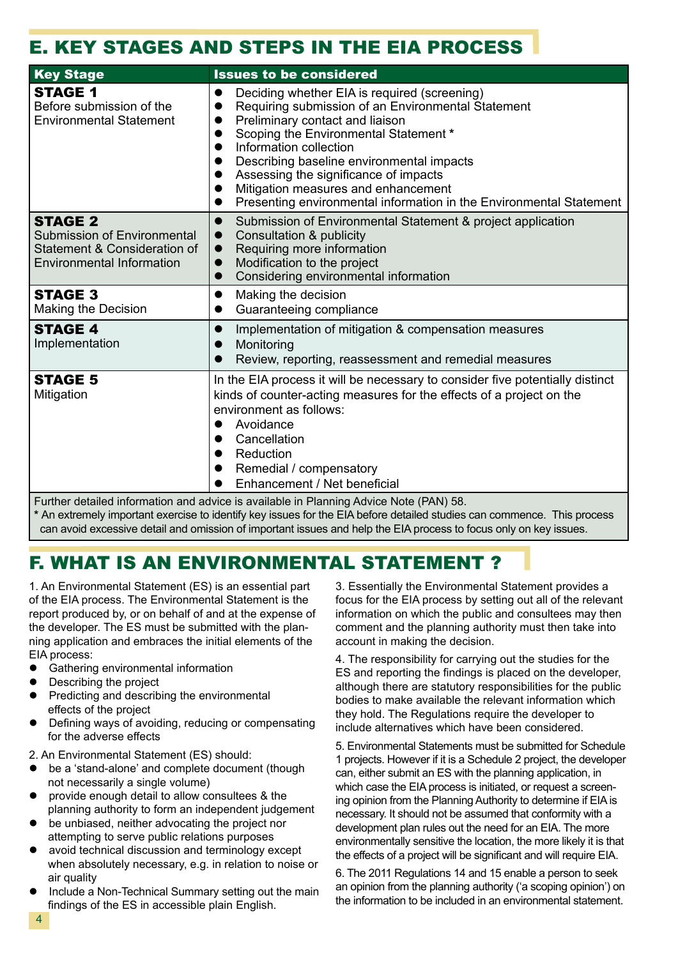## E. KEY STAGES AND STEPS IN THE EIA PROCESS

| <b>Key Stage</b>                                                                                                         | <b>Issues to be considered</b>                                                                                                                                                                                                                                                                                                                                                                               |  |  |
|--------------------------------------------------------------------------------------------------------------------------|--------------------------------------------------------------------------------------------------------------------------------------------------------------------------------------------------------------------------------------------------------------------------------------------------------------------------------------------------------------------------------------------------------------|--|--|
| <b>STAGE 1</b><br>Before submission of the<br><b>Environmental Statement</b>                                             | Deciding whether EIA is required (screening)<br>Requiring submission of an Environmental Statement<br>Preliminary contact and liaison<br>Scoping the Environmental Statement *<br>Information collection<br>Describing baseline environmental impacts<br>Assessing the significance of impacts<br>Mitigation measures and enhancement<br>Presenting environmental information in the Environmental Statement |  |  |
| <b>STAGE 2</b><br><b>Submission of Environmental</b><br>Statement & Consideration of<br><b>Environmental Information</b> | Submission of Environmental Statement & project application<br>$\bullet$<br>Consultation & publicity<br>$\bullet$<br>Requiring more information<br>$\bullet$<br>Modification to the project<br>$\bullet$<br>Considering environmental information<br>$\bullet$                                                                                                                                               |  |  |
| <b>STAGE 3</b><br>Making the Decision                                                                                    | Making the decision<br>$\bullet$<br>Guaranteeing compliance                                                                                                                                                                                                                                                                                                                                                  |  |  |
| <b>STAGE 4</b><br>Implementation                                                                                         | Implementation of mitigation & compensation measures<br>$\bullet$<br>Monitoring<br>Review, reporting, reassessment and remedial measures                                                                                                                                                                                                                                                                     |  |  |
| <b>STAGE 5</b><br>Mitigation                                                                                             | In the EIA process it will be necessary to consider five potentially distinct<br>kinds of counter-acting measures for the effects of a project on the<br>environment as follows:<br>Avoidance<br>Cancellation<br>Reduction<br>Remedial / compensatory<br>Enhancement / Net beneficial                                                                                                                        |  |  |
| Further detailed information and advice is available in Planning Advice Note (PAN) 58.                                   |                                                                                                                                                                                                                                                                                                                                                                                                              |  |  |

**\*** An extremely important exercise to identify key issues for the EIA before detailed studies can commence. This process can avoid excessive detail and omission of important issues and help the EIA process to focus only on key issues.

## F. WHAT IS AN ENVIRONMENTAL STATEMENT ?

1. An Environmental Statement (ES) is an essential part of the EIA process. The Environmental Statement is the report produced by, or on behalf of and at the expense of the developer. The ES must be submitted with the planning application and embraces the initial elements of the EIA process:

- **•** Gathering environmental information
- Describing the project
- Predicting and describing the environmental effects of the project
- Defining ways of avoiding, reducing or compensating for the adverse effects

2. An Environmental Statement (ES) should:

- be a 'stand-alone' and complete document (though not necessarily a single volume)
- provide enough detail to allow consultees & the planning authority to form an independent judgement
- be unbiased, neither advocating the project nor attempting to serve public relations purposes
- avoid technical discussion and terminology except when absolutely necessary, e.g. in relation to noise or air quality
- l Include a Non-Technical Summary setting out the main findings of the ES in accessible plain English.

3. Essentially the Environmental Statement provides a focus for the EIA process by setting out all of the relevant information on which the public and consultees may then comment and the planning authority must then take into account in making the decision.

4. The responsibility for carrying out the studies for the ES and reporting the findings is placed on the developer, although there are statutory responsibilities for the public bodies to make available the relevant information which they hold. The Regulations require the developer to include alternatives which have been considered.

5. Environmental Statements must be submitted for Schedule 1 projects. However if it is a Schedule 2 project, the developer can, either submit an ES with the planning application, in which case the EIA process is initiated, or request a screening opinion from the Planning Authority to determine if EIA is necessary. It should not be assumed that conformity with a development plan rules out the need for an EIA. The more environmentally sensitive the location, the more likely it is that the effects of a project will be significant and will require EIA.

6. The 2011 Regulations 14 and 15 enable a person to seek an opinion from the planning authority ('a scoping opinion') on the information to be included in an environmental statement.

4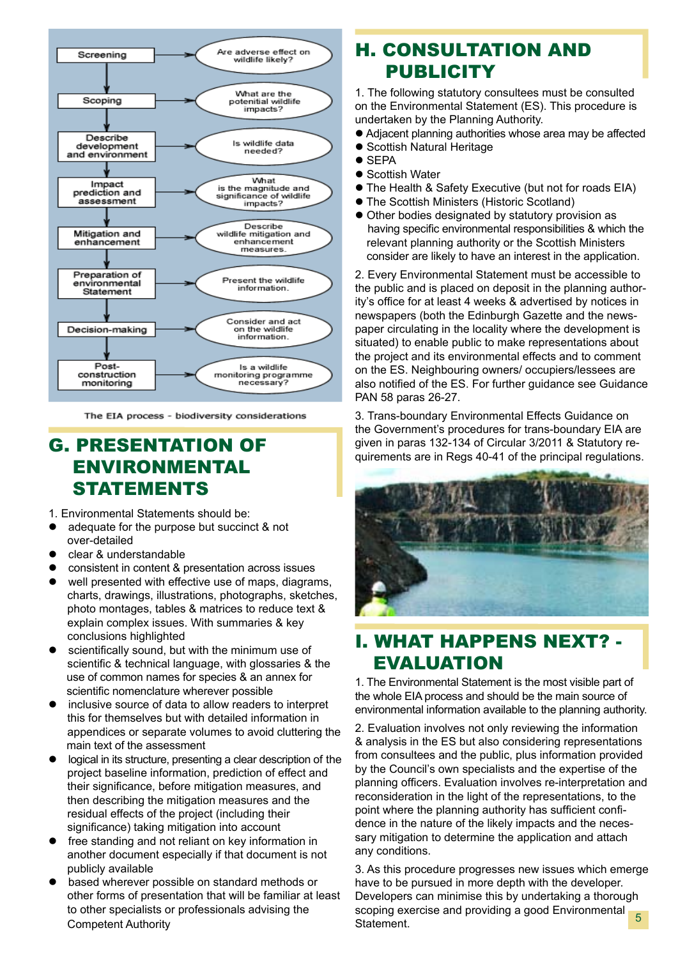

The EIA process - biodiversity considerations

### G. PRESENTATION OF ENVIRONMENTAL STATEMENTS

1. Environmental Statements should be:

- adequate for the purpose but succinct & not over-detailed
- clear & understandable
- consistent in content & presentation across issues
- $\bullet$  well presented with effective use of maps, diagrams, charts, drawings, illustrations, photographs, sketches, photo montages, tables & matrices to reduce text & explain complex issues. With summaries & key conclusions highlighted
- scientifically sound, but with the minimum use of scientific & technical language, with glossaries & the use of common names for species & an annex for scientific nomenclature wherever possible
- inclusive source of data to allow readers to interpret this for themselves but with detailed information in appendices or separate volumes to avoid cluttering the main text of the assessment
- $\bullet$  logical in its structure, presenting a clear description of the project baseline information, prediction of effect and their significance, before mitigation measures, and then describing the mitigation measures and the residual effects of the project (including their significance) taking mitigation into account
- free standing and not reliant on key information in another document especially if that document is not publicly available
- based wherever possible on standard methods or other forms of presentation that will be familiar at least to other specialists or professionals advising the Competent Authority

## H. CONSULTATION AND **PUBLICITY**

1. The following statutory consultees must be consulted on the Environmental Statement (ES). This procedure is undertaken by the Planning Authority.

- Adjacent planning authorities whose area may be affected
- **Scottish Natural Heritage**
- $\bullet$  SFPA
- Scottish Water
- The Health & Safety Executive (but not for roads EIA)
- **The Scottish Ministers (Historic Scotland)**
- $\bullet$  Other bodies designated by statutory provision as having specific environmental responsibilities & which the relevant planning authority or the Scottish Ministers consider are likely to have an interest in the application.

2. Every Environmental Statement must be accessible to the public and is placed on deposit in the planning authority's office for at least 4 weeks & advertised by notices in newspapers (both the Edinburgh Gazette and the newspaper circulating in the locality where the development is situated) to enable public to make representations about the project and its environmental effects and to comment on the ES. Neighbouring owners/ occupiers/lessees are also notified of the ES. For further guidance see Guidance PAN 58 paras 26-27.

3. Trans-boundary Environmental Effects Guidance on the Government's procedures for trans-boundary EIA are given in paras 132-134 of Circular 3/2011 & Statutory requirements are in Regs 40-41 of the principal regulations.



## I. WHAT HAPPENS NEXT? - EVALUATION

1. The Environmental Statement is the most visible part of the whole EIA process and should be the main source of environmental information available to the planning authority.

2. Evaluation involves not only reviewing the information & analysis in the ES but also considering representations from consultees and the public, plus information provided by the Council's own specialists and the expertise of the planning officers. Evaluation involves re-interpretation and reconsideration in the light of the representations, to the point where the planning authority has sufficient confidence in the nature of the likely impacts and the necessary mitigation to determine the application and attach any conditions.

3. As this procedure progresses new issues which emerge have to be pursued in more depth with the developer. Developers can minimise this by undertaking a thorough scoping exercise and providing a good Environmental Statement. 5